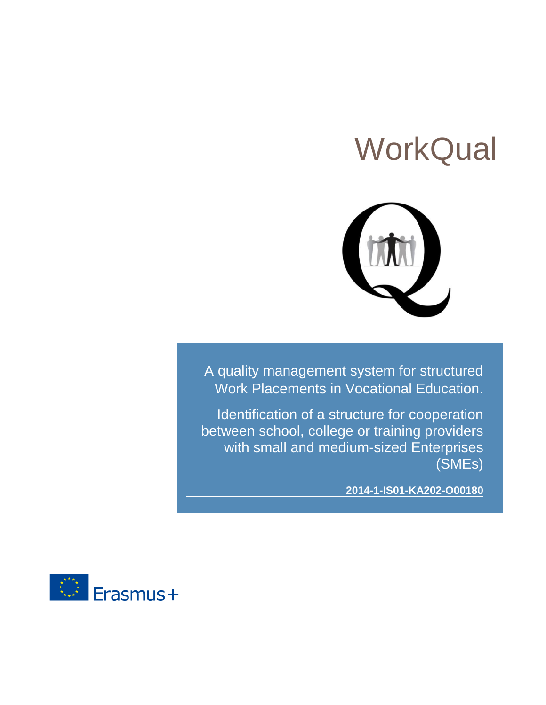# **WorkQual**



A quality management system for structured Work Placements in Vocational Education.

Identification of a structure for cooperation between school, college or training providers with small and medium-sized Enterprises (SMEs)

**2014-1-IS01-KA202-O00180**

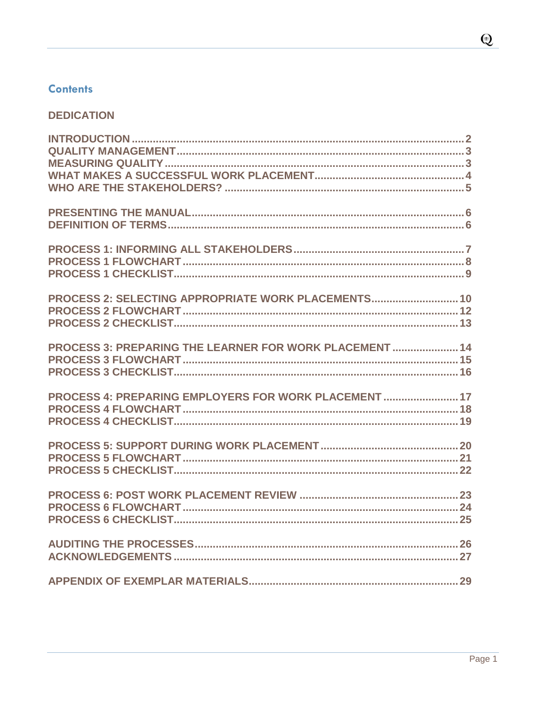# **Contents**

# **DEDICATION**

| PROCESS 2: SELECTING APPROPRIATE WORK PLACEMENTS 10     |
|---------------------------------------------------------|
| PROCESS 3: PREPARING THE LEARNER FOR WORK PLACEMENT  14 |
| PROCESS 4: PREPARING EMPLOYERS FOR WORK PLACEMENT  17   |
|                                                         |
|                                                         |
|                                                         |
|                                                         |

Page 1

 $\mathbf Q$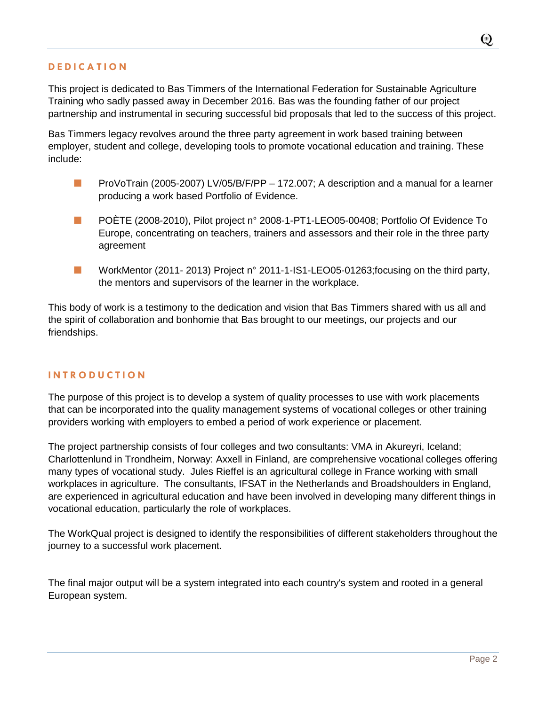<span id="page-2-0"></span>This project is dedicated to Bas Timmers of the International Federation for Sustainable Agriculture Training who sadly passed away in December 2016. Bas was the founding father of our project partnership and instrumental in securing successful bid proposals that led to the success of this project.

Bas Timmers legacy revolves around the three party agreement in work based training between employer, student and college, developing tools to promote vocational education and training. These include:

- **ProVoTrain (2005-2007) LV/05/B/F/PP 172.007; A description and a manual for a learner** producing a work based Portfolio of Evidence.
- **POËTE (2008-2010), Pilot project n° 2008-1-PT1-LEO05-00408; Portfolio Of Evidence To** Europe, concentrating on teachers, trainers and assessors and their role in the three party agreement
- **Number 12011-2013** Project n° 2011-1-IS1-LEO05-01263; focusing on the third party, the mentors and supervisors of the learner in the workplace.

This body of work is a testimony to the dedication and vision that Bas Timmers shared with us all and the spirit of collaboration and bonhomie that Bas brought to our meetings, our projects and our friendships.

#### **I N T R O D U C T I O N**

The purpose of this project is to develop a system of quality processes to use with work placements that can be incorporated into the quality management systems of vocational colleges or other training providers working with employers to embed a period of work experience or placement.

The project partnership consists of four colleges and two consultants: VMA in Akureyri, Iceland; Charlottenlund in Trondheim, Norway: Axxell in Finland, are comprehensive vocational colleges offering many types of vocational study. Jules Rieffel is an agricultural college in France working with small workplaces in agriculture. The consultants, IFSAT in the Netherlands and Broadshoulders in England, are experienced in agricultural education and have been involved in developing many different things in vocational education, particularly the role of workplaces.

The WorkQual project is designed to identify the responsibilities of different stakeholders throughout the journey to a successful work placement.

<span id="page-2-1"></span>The final major output will be a system integrated into each country's system and rooted in a general European system.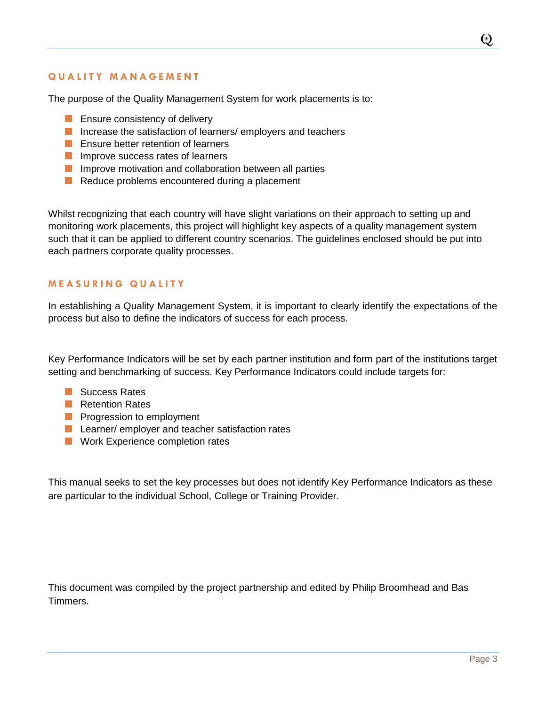## **Q U A L I T Y M A N A G E M E N T**

The purpose of the Quality Management System for work placements is to:

- **E** Ensure consistency of delivery
- Increase the satisfaction of learners/ employers and teachers
- **Example 1** Ensure better retention of learners
- **Improve success rates of learners**
- **Improve motivation and collaboration between all parties**
- Reduce problems encountered during a placement

Whilst recognizing that each country will have slight variations on their approach to setting up and monitoring work placements, this project will highlight key aspects of a quality management system such that it can be applied to different country scenarios. The guidelines enclosed should be put into each partners corporate quality processes.

#### <span id="page-3-0"></span>**M E A S U R I N G Q U A L I T Y**

In establishing a Quality Management System, it is important to clearly identify the expectations of the process but also to define the indicators of success for each process.

Key Performance Indicators will be set by each partner institution and form part of the institutions target setting and benchmarking of success. Key Performance Indicators could include targets for:

- **Success Rates**
- **Retention Rates**
- **Progression to employment**
- **Learner/ employer and teacher satisfaction rates**
- **Nork Experience completion rates**

This manual seeks to set the key processes but does not identify Key Performance Indicators as these are particular to the individual School, College or Training Provider.

This document was compiled by the project partnership and edited by Philip Broomhead and Bas Timmers.

Page 3

 $\odot$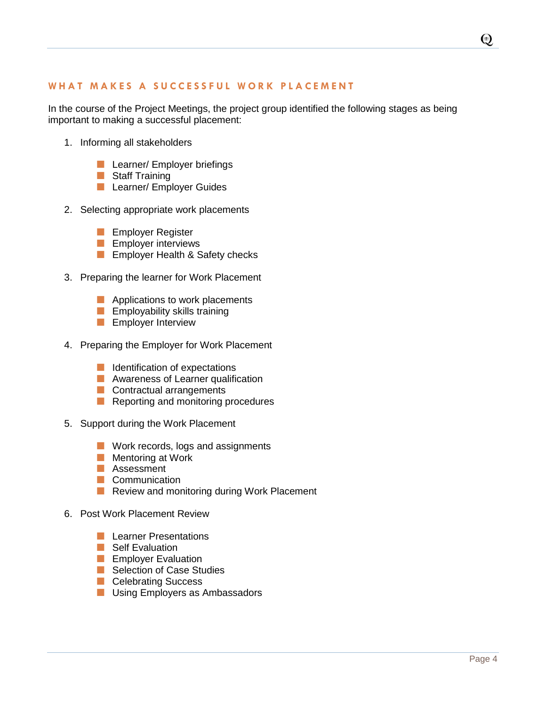#### <span id="page-4-0"></span>WHAT MAKES A SUCCESSFUL WORK PLACEMENT

In the course of the Project Meetings, the project group identified the following stages as being important to making a successful placement:

- 1. Informing all stakeholders
	- **Learner/ Employer briefings**
	- Staff Training
	- **Learner/ Employer Guides**
- 2. Selecting appropriate work placements
	- **Employer Register**
	- **Employer interviews**
	- **Employer Health & Safety checks**
- 3. Preparing the learner for Work Placement
	- **Applications to work placements**
	- **Employability skills training**
	- **Employer Interview**
- 4. Preparing the Employer for Work Placement
	- **I** Identification of expectations
	- **Awareness of Learner qualification**
	- Contractual arrangements
	- Reporting and monitoring procedures
- 5. Support during the Work Placement
	- **Nork records, logs and assignments**
	- **Mentoring at Work**
	- **Assessment**
	- Communication
	- Review and monitoring during Work Placement
- 6. Post Work Placement Review
	- **Learner Presentations**
	- **Self Evaluation**
	- **Employer Evaluation**
	- Selection of Case Studies
	- **Celebrating Success**
	- **Using Employers as Ambassadors**

 $\odot$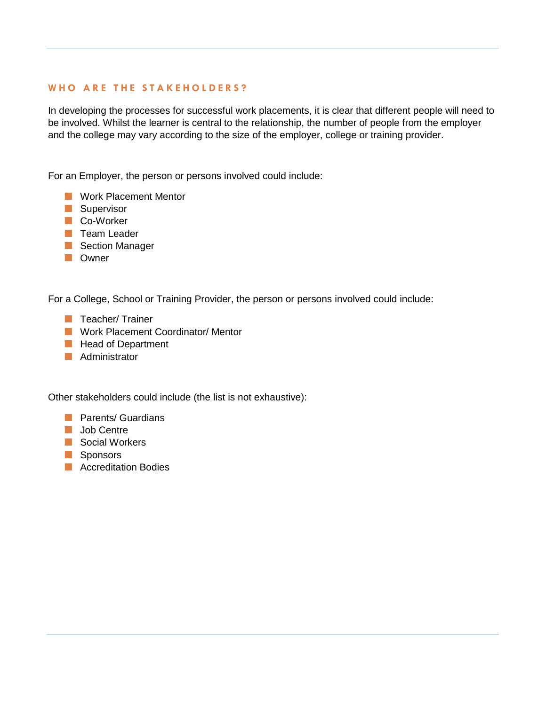## <span id="page-5-0"></span>WHO ARE THE STAKEHOLDERS?

In developing the processes for successful work placements, it is clear that different people will need to be involved. Whilst the learner is central to the relationship, the number of people from the employer and the college may vary according to the size of the employer, college or training provider.

For an Employer, the person or persons involved could include:

- **Work Placement Mentor**
- **Supervisor**
- Co-Worker
- **T** Team Leader
- Section Manager
- **No** Owner

For a College, School or Training Provider, the person or persons involved could include:

- **T** Teacher/ Trainer
- **Nork Placement Coordinator/ Mentor**
- **Head of Department**
- **Administrator**

Other stakeholders could include (the list is not exhaustive):

- **Parents/ Guardians**
- **Job Centre**
- Social Workers
- **Sponsors**
- **Accreditation Bodies**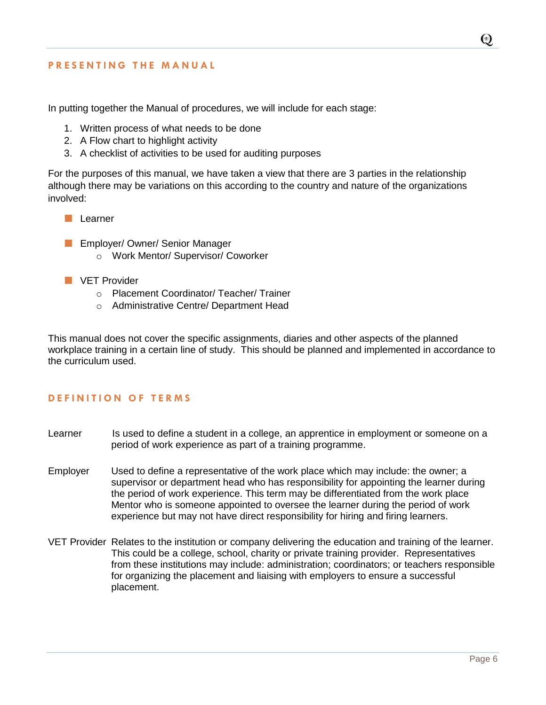#### <span id="page-6-0"></span>**P R E S E N T I N G T H E M A N U A L**

In putting together the Manual of procedures, we will include for each stage:

- 1. Written process of what needs to be done
- 2. A Flow chart to highlight activity
- 3. A checklist of activities to be used for auditing purposes

For the purposes of this manual, we have taken a view that there are 3 parties in the relationship although there may be variations on this according to the country and nature of the organizations involved:

- **Learner**
- **Employer/ Owner/ Senior Manager** 
	- o Work Mentor/ Supervisor/ Coworker
- **NO** VET Provider
	- o Placement Coordinator/ Teacher/ Trainer
	- o Administrative Centre/ Department Head

This manual does not cover the specific assignments, diaries and other aspects of the planned workplace training in a certain line of study. This should be planned and implemented in accordance to the curriculum used.

#### <span id="page-6-1"></span>**DEFINITION OF TERMS**

- Learner Is used to define a student in a college, an apprentice in employment or someone on a period of work experience as part of a training programme.
- Employer Used to define a representative of the work place which may include: the owner; a supervisor or department head who has responsibility for appointing the learner during the period of work experience. This term may be differentiated from the work place Mentor who is someone appointed to oversee the learner during the period of work experience but may not have direct responsibility for hiring and firing learners.
- VET Provider Relates to the institution or company delivering the education and training of the learner. This could be a college, school, charity or private training provider. Representatives from these institutions may include: administration; coordinators; or teachers responsible for organizing the placement and liaising with employers to ensure a successful placement.

 $\odot$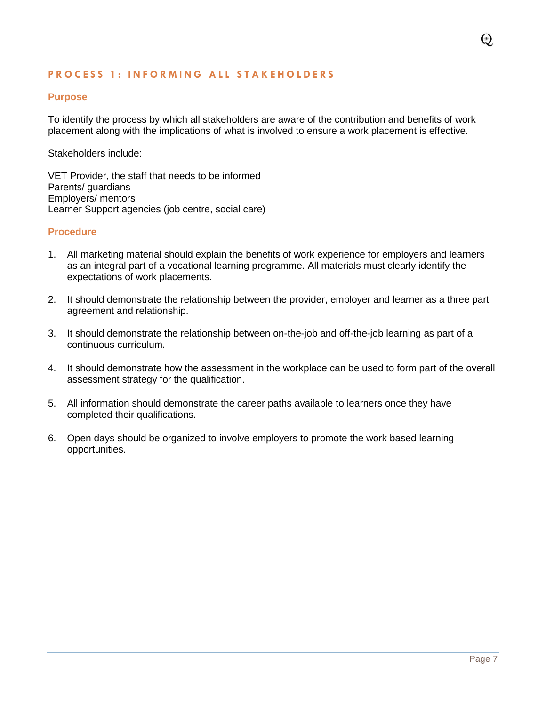## <span id="page-7-0"></span>**PROCESS 1: INFORMING ALL STAKEHOLDERS**

#### **Purpose**

To identify the process by which all stakeholders are aware of the contribution and benefits of work placement along with the implications of what is involved to ensure a work placement is effective.

Stakeholders include:

VET Provider, the staff that needs to be informed Parents/ guardians Employers/ mentors Learner Support agencies (job centre, social care)

#### **Procedure**

- 1. All marketing material should explain the benefits of work experience for employers and learners as an integral part of a vocational learning programme. All materials must clearly identify the expectations of work placements.
- 2. It should demonstrate the relationship between the provider, employer and learner as a three part agreement and relationship.
- 3. It should demonstrate the relationship between on-the-job and off-the-job learning as part of a continuous curriculum.
- 4. It should demonstrate how the assessment in the workplace can be used to form part of the overall assessment strategy for the qualification.
- 5. All information should demonstrate the career paths available to learners once they have completed their qualifications.
- 6. Open days should be organized to involve employers to promote the work based learning opportunities.

 $\odot$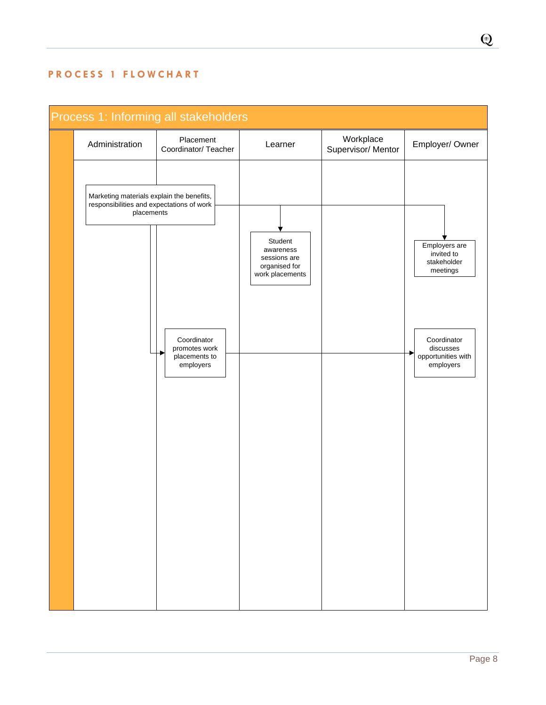# <span id="page-8-0"></span>**P R O C E S S 1 F L O W C H A R T**

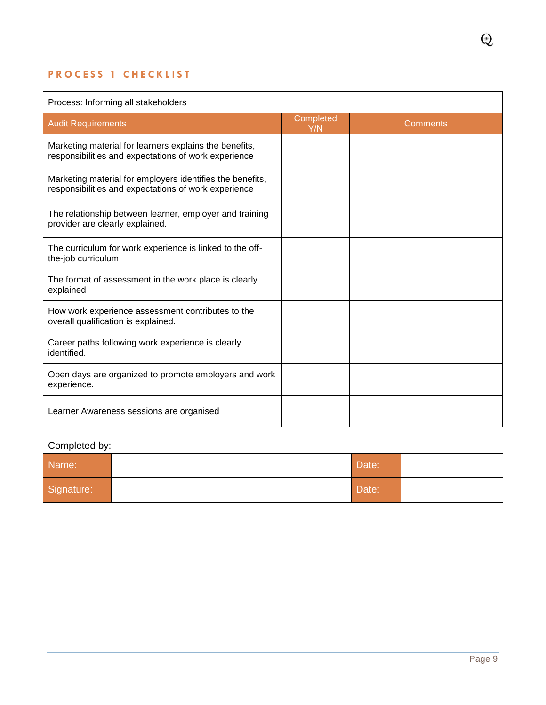# <span id="page-9-0"></span>**PROCESS 1 CHECKLIST**

# Process: Informing all stakeholders

| rooooo: mionning all olanonolaoio                                                                                 |                  |          |  |
|-------------------------------------------------------------------------------------------------------------------|------------------|----------|--|
| <b>Audit Requirements</b>                                                                                         | Completed<br>Y/N | Comments |  |
| Marketing material for learners explains the benefits,<br>responsibilities and expectations of work experience    |                  |          |  |
| Marketing material for employers identifies the benefits,<br>responsibilities and expectations of work experience |                  |          |  |
| The relationship between learner, employer and training<br>provider are clearly explained.                        |                  |          |  |
| The curriculum for work experience is linked to the off-<br>the-job curriculum                                    |                  |          |  |
| The format of assessment in the work place is clearly<br>explained                                                |                  |          |  |
| How work experience assessment contributes to the<br>overall qualification is explained.                          |                  |          |  |
| Career paths following work experience is clearly<br>identified.                                                  |                  |          |  |
| Open days are organized to promote employers and work<br>experience.                                              |                  |          |  |
| Learner Awareness sessions are organised                                                                          |                  |          |  |

# Completed by:

| Name:      | Date: |  |
|------------|-------|--|
| Signature: | Date: |  |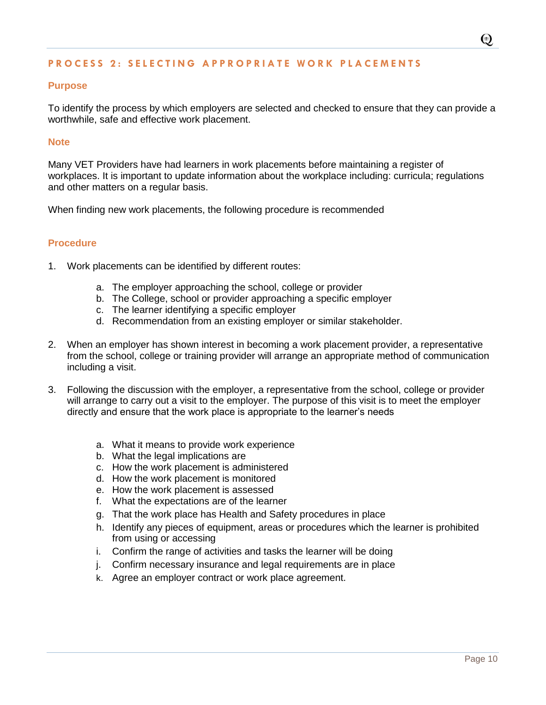#### <span id="page-10-0"></span>**P R O C E S S 2 : S E L E C T I N G A P P R O P R I A T E W O R K P L A C E M E N T S**

#### **Purpose**

To identify the process by which employers are selected and checked to ensure that they can provide a worthwhile, safe and effective work placement.

#### **Note**

Many VET Providers have had learners in work placements before maintaining a register of workplaces. It is important to update information about the workplace including: curricula; regulations and other matters on a regular basis.

When finding new work placements, the following procedure is recommended

#### **Procedure**

- 1. Work placements can be identified by different routes:
	- a. The employer approaching the school, college or provider
	- b. The College, school or provider approaching a specific employer
	- c. The learner identifying a specific employer
	- d. Recommendation from an existing employer or similar stakeholder.
- 2. When an employer has shown interest in becoming a work placement provider, a representative from the school, college or training provider will arrange an appropriate method of communication including a visit.
- 3. Following the discussion with the employer, a representative from the school, college or provider will arrange to carry out a visit to the employer. The purpose of this visit is to meet the employer directly and ensure that the work place is appropriate to the learner's needs
	- a. What it means to provide work experience
	- b. What the legal implications are
	- c. How the work placement is administered
	- d. How the work placement is monitored
	- e. How the work placement is assessed
	- f. What the expectations are of the learner
	- g. That the work place has Health and Safety procedures in place
	- h. Identify any pieces of equipment, areas or procedures which the learner is prohibited from using or accessing
	- i. Confirm the range of activities and tasks the learner will be doing
	- j. Confirm necessary insurance and legal requirements are in place
	- k. Agree an employer contract or work place agreement.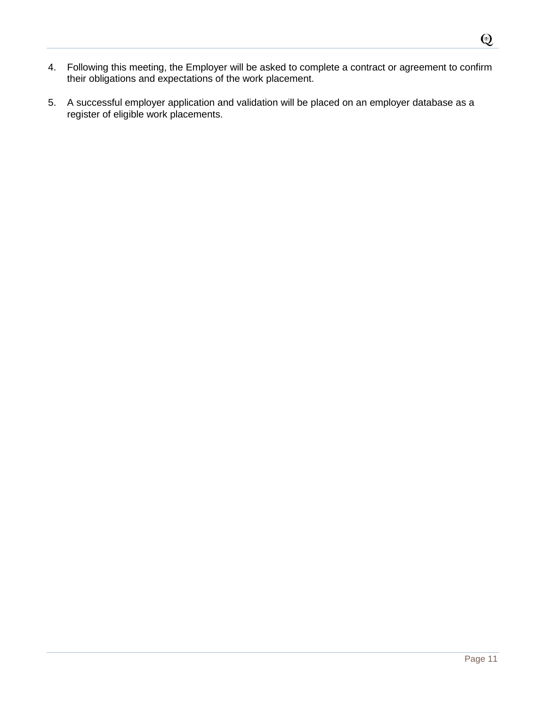- 4. Following this meeting, the Employer will be asked to complete a contract or agreement to confirm their obligations and expectations of the work placement.
- 5. A successful employer application and validation will be placed on an employer database as a register of eligible work placements.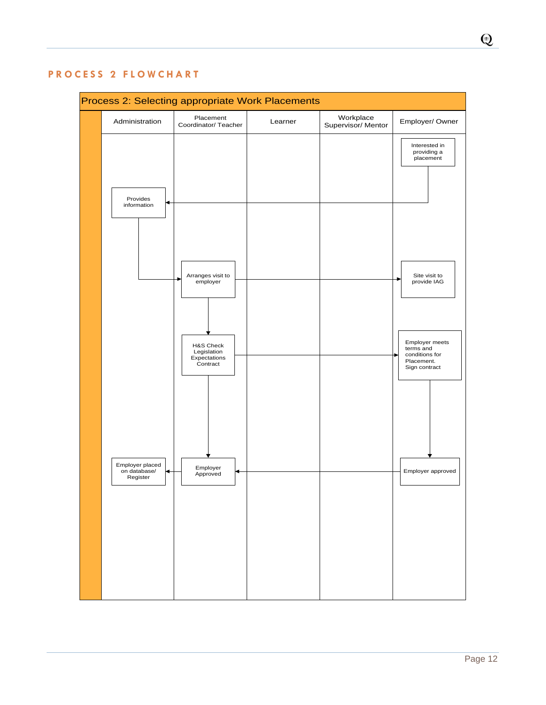

# <span id="page-12-0"></span>**P R O C E S S 2 F L O W C H A R T**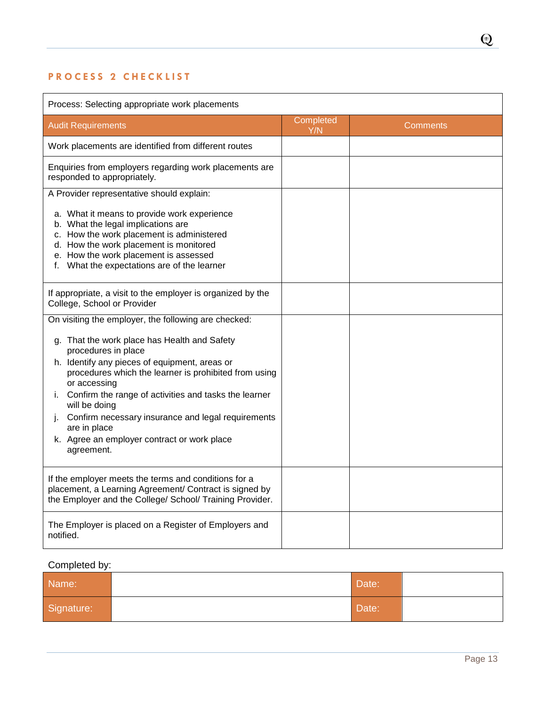# <span id="page-13-0"></span>PROCESS 2 CHECKLIST

| Process: Selecting appropriate work placements                                                                                                                                                                                                                   |                  |          |
|------------------------------------------------------------------------------------------------------------------------------------------------------------------------------------------------------------------------------------------------------------------|------------------|----------|
| <b>Audit Requirements</b>                                                                                                                                                                                                                                        | Completed<br>Y/N | Comments |
| Work placements are identified from different routes                                                                                                                                                                                                             |                  |          |
| Enquiries from employers regarding work placements are<br>responded to appropriately.                                                                                                                                                                            |                  |          |
| A Provider representative should explain:                                                                                                                                                                                                                        |                  |          |
| a. What it means to provide work experience<br>b. What the legal implications are<br>c. How the work placement is administered<br>d. How the work placement is monitored<br>e. How the work placement is assessed<br>f. What the expectations are of the learner |                  |          |
| If appropriate, a visit to the employer is organized by the<br>College, School or Provider                                                                                                                                                                       |                  |          |
| On visiting the employer, the following are checked:                                                                                                                                                                                                             |                  |          |
| g. That the work place has Health and Safety<br>procedures in place                                                                                                                                                                                              |                  |          |
| h. Identify any pieces of equipment, areas or<br>procedures which the learner is prohibited from using<br>or accessing                                                                                                                                           |                  |          |
| Confirm the range of activities and tasks the learner<br>i.<br>will be doing                                                                                                                                                                                     |                  |          |
| Confirm necessary insurance and legal requirements<br>are in place                                                                                                                                                                                               |                  |          |
| k. Agree an employer contract or work place<br>agreement.                                                                                                                                                                                                        |                  |          |
| If the employer meets the terms and conditions for a<br>placement, a Learning Agreement/ Contract is signed by<br>the Employer and the College/ School/ Training Provider.                                                                                       |                  |          |
| The Employer is placed on a Register of Employers and<br>notified.                                                                                                                                                                                               |                  |          |

# Completed by:

| Name:      | Date: |  |
|------------|-------|--|
| Signature: | Date: |  |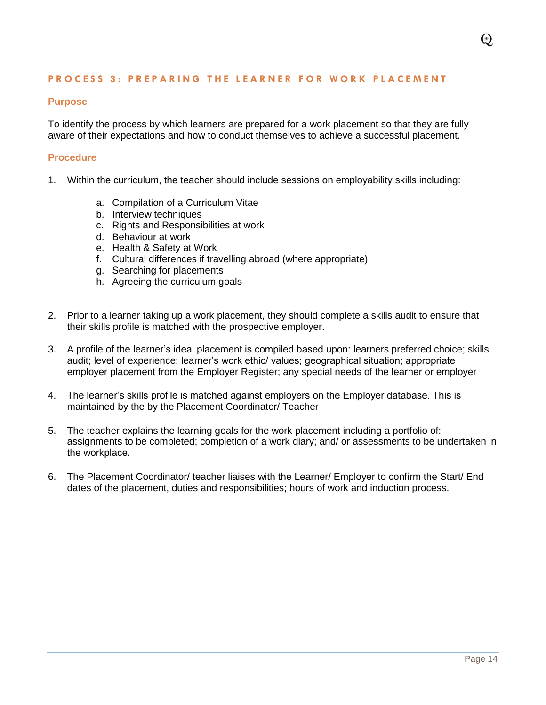## <span id="page-14-0"></span>**PROCESS 3: PREPARING THE LEARNER FOR WORK PLACEMENT**

#### **Purpose**

To identify the process by which learners are prepared for a work placement so that they are fully aware of their expectations and how to conduct themselves to achieve a successful placement.

#### **Procedure**

- 1. Within the curriculum, the teacher should include sessions on employability skills including:
	- a. Compilation of a Curriculum Vitae
	- b. Interview techniques
	- c. Rights and Responsibilities at work
	- d. Behaviour at work
	- e. Health & Safety at Work
	- f. Cultural differences if travelling abroad (where appropriate)
	- g. Searching for placements
	- h. Agreeing the curriculum goals
- 2. Prior to a learner taking up a work placement, they should complete a skills audit to ensure that their skills profile is matched with the prospective employer.
- 3. A profile of the learner's ideal placement is compiled based upon: learners preferred choice; skills audit; level of experience; learner's work ethic/ values; geographical situation; appropriate employer placement from the Employer Register; any special needs of the learner or employer
- 4. The learner's skills profile is matched against employers on the Employer database. This is maintained by the by the Placement Coordinator/ Teacher
- 5. The teacher explains the learning goals for the work placement including a portfolio of: assignments to be completed; completion of a work diary; and/ or assessments to be undertaken in the workplace.
- 6. The Placement Coordinator/ teacher liaises with the Learner/ Employer to confirm the Start/ End dates of the placement, duties and responsibilities; hours of work and induction process.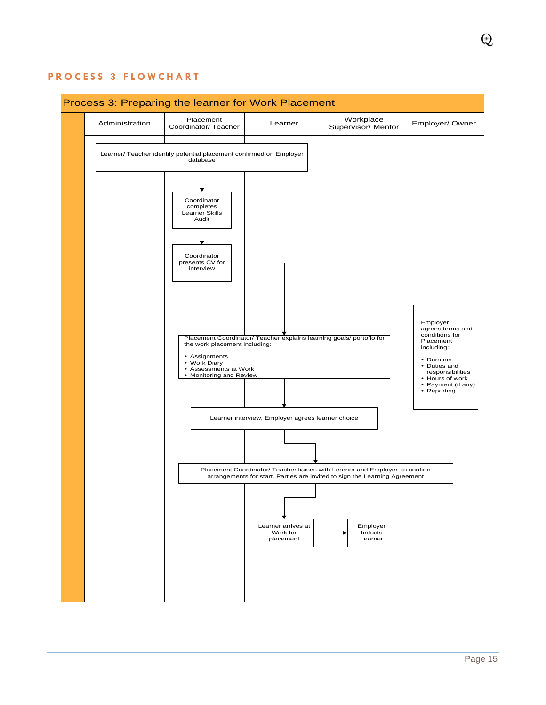$\odot$ 

## <span id="page-15-0"></span>**P R O C E S S 3 F L O W C H A R T**

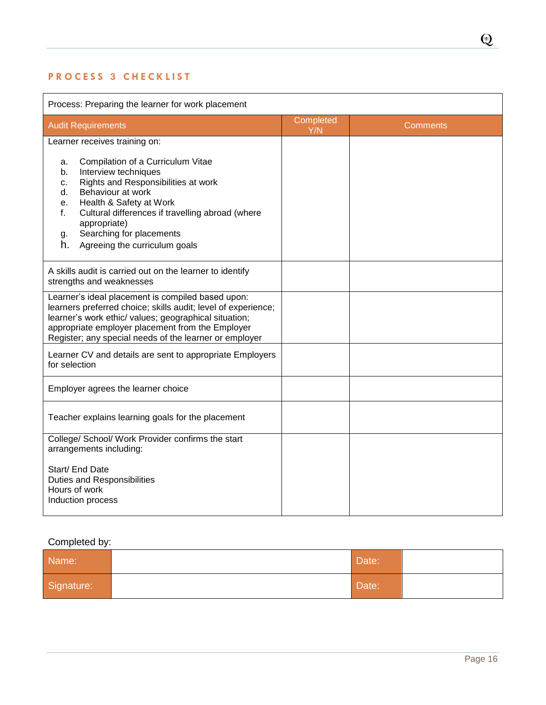# <span id="page-16-0"></span>**P R O C E S S 3 C H E C K L I S T**

| Process: Preparing the learner for work placement                                                                                                                                                                                                                                                                                 |                  |                 |
|-----------------------------------------------------------------------------------------------------------------------------------------------------------------------------------------------------------------------------------------------------------------------------------------------------------------------------------|------------------|-----------------|
| <b>Audit Requirements</b>                                                                                                                                                                                                                                                                                                         | Completed<br>Y/N | <b>Comments</b> |
| Learner receives training on:                                                                                                                                                                                                                                                                                                     |                  |                 |
| Compilation of a Curriculum Vitae<br>a.<br>Interview techniques<br>b.<br>Rights and Responsibilities at work<br>c.<br>Behaviour at work<br>d.<br>Health & Safety at Work<br>е.<br>Cultural differences if travelling abroad (where<br>f.<br>appropriate)<br>Searching for placements<br>g.<br>h.<br>Agreeing the curriculum goals |                  |                 |
| A skills audit is carried out on the learner to identify<br>strengths and weaknesses                                                                                                                                                                                                                                              |                  |                 |
| Learner's ideal placement is compiled based upon:<br>learners preferred choice; skills audit; level of experience;<br>learner's work ethic/ values; geographical situation;<br>appropriate employer placement from the Employer<br>Register; any special needs of the learner or employer                                         |                  |                 |
| Learner CV and details are sent to appropriate Employers<br>for selection                                                                                                                                                                                                                                                         |                  |                 |
| Employer agrees the learner choice                                                                                                                                                                                                                                                                                                |                  |                 |
| Teacher explains learning goals for the placement                                                                                                                                                                                                                                                                                 |                  |                 |
| College/ School/ Work Provider confirms the start<br>arrangements including:                                                                                                                                                                                                                                                      |                  |                 |
| Start/ End Date<br><b>Duties and Responsibilities</b><br>Hours of work<br>Induction process                                                                                                                                                                                                                                       |                  |                 |

# Completed by:

| Name:      | Date: |  |
|------------|-------|--|
| Signature: | Date: |  |

 $\mathbb{Q}$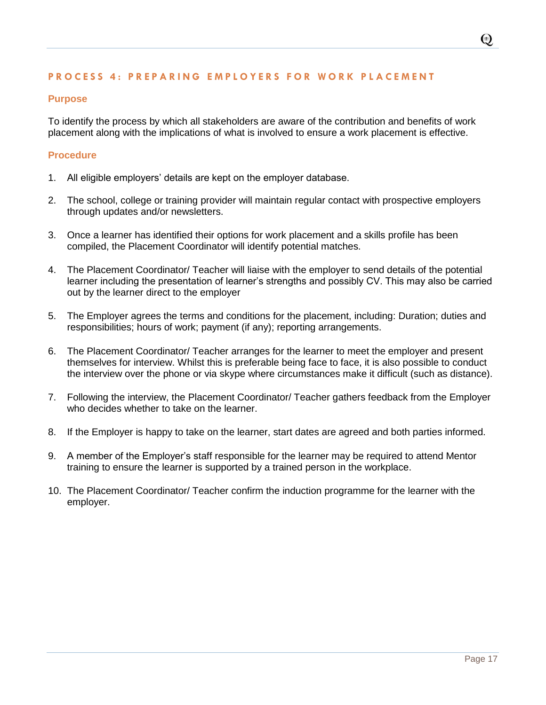#### <span id="page-17-0"></span>**P R O C E S S 4 : P R E P A R I N G E M P L O Y E R S F O R W O R K P L A C E M E N T**

#### **Purpose**

To identify the process by which all stakeholders are aware of the contribution and benefits of work placement along with the implications of what is involved to ensure a work placement is effective.

#### **Procedure**

- 1. All eligible employers' details are kept on the employer database.
- 2. The school, college or training provider will maintain regular contact with prospective employers through updates and/or newsletters.
- 3. Once a learner has identified their options for work placement and a skills profile has been compiled, the Placement Coordinator will identify potential matches.
- 4. The Placement Coordinator/ Teacher will liaise with the employer to send details of the potential learner including the presentation of learner's strengths and possibly CV. This may also be carried out by the learner direct to the employer
- 5. The Employer agrees the terms and conditions for the placement, including: Duration; duties and responsibilities; hours of work; payment (if any); reporting arrangements.
- 6. The Placement Coordinator/ Teacher arranges for the learner to meet the employer and present themselves for interview. Whilst this is preferable being face to face, it is also possible to conduct the interview over the phone or via skype where circumstances make it difficult (such as distance).
- 7. Following the interview, the Placement Coordinator/ Teacher gathers feedback from the Employer who decides whether to take on the learner.
- 8. If the Employer is happy to take on the learner, start dates are agreed and both parties informed.
- 9. A member of the Employer's staff responsible for the learner may be required to attend Mentor training to ensure the learner is supported by a trained person in the workplace.
- 10. The Placement Coordinator/ Teacher confirm the induction programme for the learner with the employer.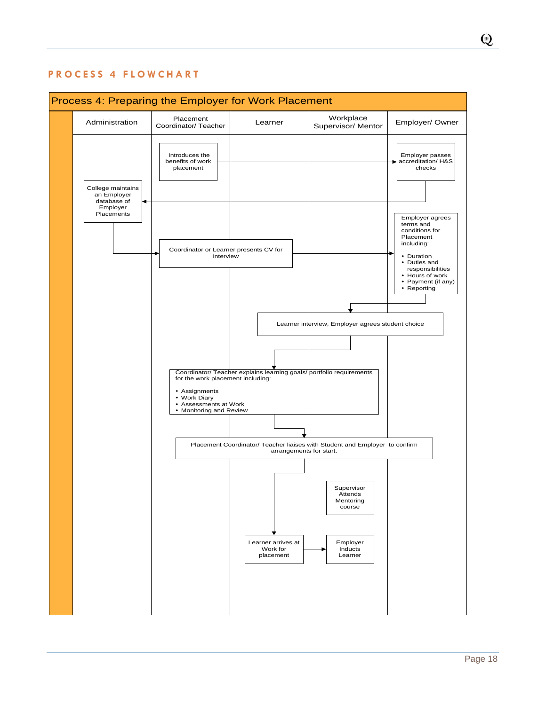

# <span id="page-18-0"></span>**P R O C E S S 4 F L O W C H A R T**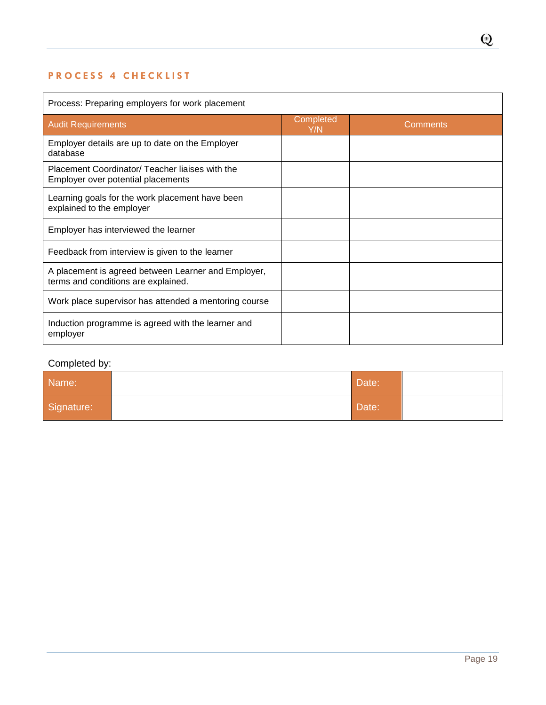# <span id="page-19-0"></span>PROCESS 4 CHECKLIST

| Process: Preparing employers for work placement                                            |                  |                 |  |  |
|--------------------------------------------------------------------------------------------|------------------|-----------------|--|--|
| <b>Audit Requirements</b>                                                                  | Completed<br>Y/N | <b>Comments</b> |  |  |
| Employer details are up to date on the Employer<br>database                                |                  |                 |  |  |
| Placement Coordinator/ Teacher liaises with the<br>Employer over potential placements      |                  |                 |  |  |
| Learning goals for the work placement have been<br>explained to the employer               |                  |                 |  |  |
| Employer has interviewed the learner                                                       |                  |                 |  |  |
| Feedback from interview is given to the learner                                            |                  |                 |  |  |
| A placement is agreed between Learner and Employer,<br>terms and conditions are explained. |                  |                 |  |  |
| Work place supervisor has attended a mentoring course                                      |                  |                 |  |  |
| Induction programme is agreed with the learner and<br>employer                             |                  |                 |  |  |

# Completed by:

| Name:      | Date: |  |
|------------|-------|--|
| Signature: | Date: |  |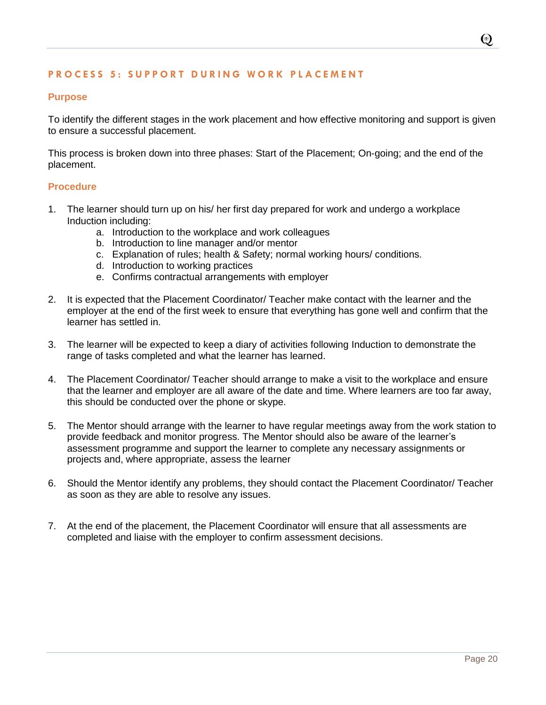#### <span id="page-20-0"></span>**PROCESS 5: SUPPORT DURING WORK PLACEMENT**

#### **Purpose**

To identify the different stages in the work placement and how effective monitoring and support is given to ensure a successful placement.

This process is broken down into three phases: Start of the Placement; On-going; and the end of the placement.

#### **Procedure**

- 1. The learner should turn up on his/ her first day prepared for work and undergo a workplace Induction including:
	- a. Introduction to the workplace and work colleagues
	- b. Introduction to line manager and/or mentor
	- c. Explanation of rules; health & Safety; normal working hours/ conditions.
	- d. Introduction to working practices
	- e. Confirms contractual arrangements with employer
- 2. It is expected that the Placement Coordinator/ Teacher make contact with the learner and the employer at the end of the first week to ensure that everything has gone well and confirm that the learner has settled in.
- 3. The learner will be expected to keep a diary of activities following Induction to demonstrate the range of tasks completed and what the learner has learned.
- 4. The Placement Coordinator/ Teacher should arrange to make a visit to the workplace and ensure that the learner and employer are all aware of the date and time. Where learners are too far away, this should be conducted over the phone or skype.
- 5. The Mentor should arrange with the learner to have regular meetings away from the work station to provide feedback and monitor progress. The Mentor should also be aware of the learner's assessment programme and support the learner to complete any necessary assignments or projects and, where appropriate, assess the learner
- 6. Should the Mentor identify any problems, they should contact the Placement Coordinator/ Teacher as soon as they are able to resolve any issues.
- 7. At the end of the placement, the Placement Coordinator will ensure that all assessments are completed and liaise with the employer to confirm assessment decisions.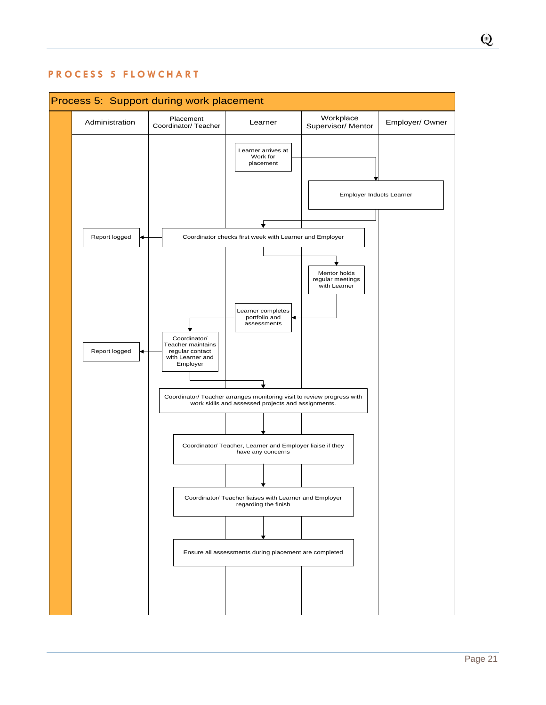<span id="page-21-0"></span>



 $\odot$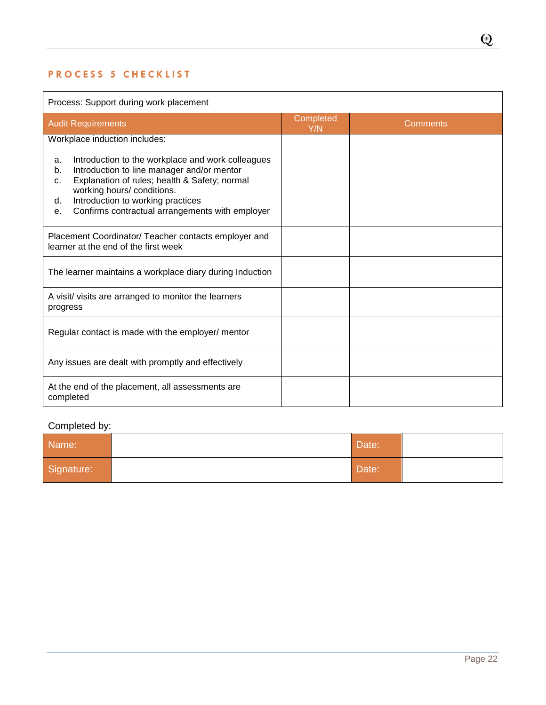# <span id="page-22-0"></span>**PROCESS 5 CHECKLIST**

| Process: Support during work placement                                                                                                                                                                                                                                                               |                  |          |  |  |
|------------------------------------------------------------------------------------------------------------------------------------------------------------------------------------------------------------------------------------------------------------------------------------------------------|------------------|----------|--|--|
| <b>Audit Requirements</b>                                                                                                                                                                                                                                                                            | Completed<br>Y/N | Comments |  |  |
| Workplace induction includes:                                                                                                                                                                                                                                                                        |                  |          |  |  |
| Introduction to the workplace and work colleagues<br>a.<br>Introduction to line manager and/or mentor<br>b.<br>Explanation of rules; health & Safety; normal<br>c.<br>working hours/ conditions.<br>Introduction to working practices<br>d.<br>Confirms contractual arrangements with employer<br>е. |                  |          |  |  |
| Placement Coordinator/ Teacher contacts employer and<br>learner at the end of the first week                                                                                                                                                                                                         |                  |          |  |  |
| The learner maintains a workplace diary during Induction                                                                                                                                                                                                                                             |                  |          |  |  |
| A visit/ visits are arranged to monitor the learners<br>progress                                                                                                                                                                                                                                     |                  |          |  |  |
| Regular contact is made with the employer/ mentor                                                                                                                                                                                                                                                    |                  |          |  |  |
| Any issues are dealt with promptly and effectively                                                                                                                                                                                                                                                   |                  |          |  |  |
| At the end of the placement, all assessments are<br>completed                                                                                                                                                                                                                                        |                  |          |  |  |

# Completed by:

| Name:      | Date: |  |
|------------|-------|--|
| Signature: | Date: |  |

 $\mathbb{Q}$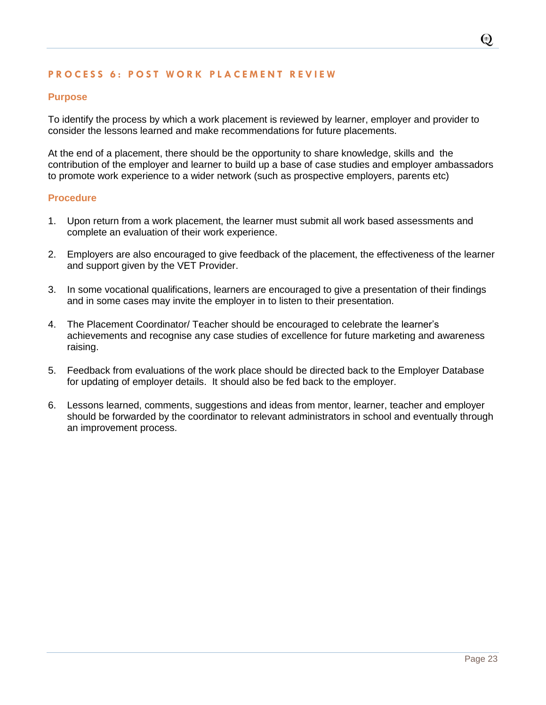#### <span id="page-23-0"></span>**PROCESS 6: POST WORK PLACEMENT REVIEW**

#### **Purpose**

To identify the process by which a work placement is reviewed by learner, employer and provider to consider the lessons learned and make recommendations for future placements.

At the end of a placement, there should be the opportunity to share knowledge, skills and the contribution of the employer and learner to build up a base of case studies and employer ambassadors to promote work experience to a wider network (such as prospective employers, parents etc)

#### **Procedure**

- 1. Upon return from a work placement, the learner must submit all work based assessments and complete an evaluation of their work experience.
- 2. Employers are also encouraged to give feedback of the placement, the effectiveness of the learner and support given by the VET Provider.
- 3. In some vocational qualifications, learners are encouraged to give a presentation of their findings and in some cases may invite the employer in to listen to their presentation.
- 4. The Placement Coordinator/ Teacher should be encouraged to celebrate the learner's achievements and recognise any case studies of excellence for future marketing and awareness raising.
- 5. Feedback from evaluations of the work place should be directed back to the Employer Database for updating of employer details. It should also be fed back to the employer.
- 6. Lessons learned, comments, suggestions and ideas from mentor, learner, teacher and employer should be forwarded by the coordinator to relevant administrators in school and eventually through an improvement process.

 $\odot$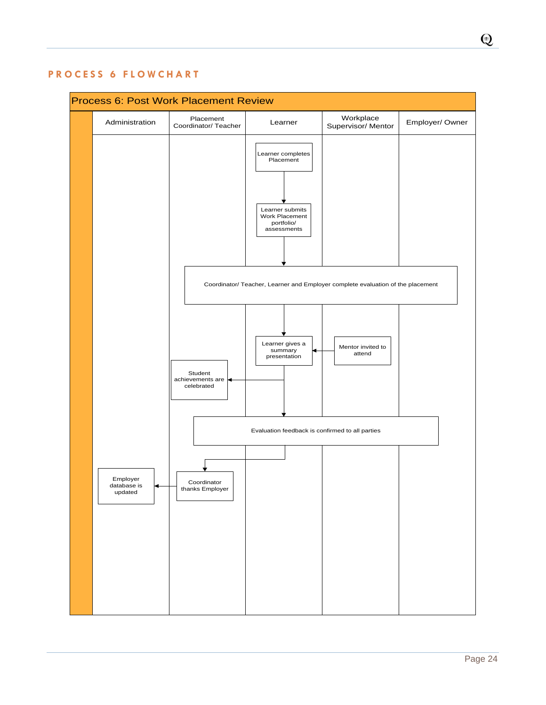# Process 6: Post Work Placement Review Placement Administration Placement Placement Learner Workplace Employer/Owner Learner completes Placement Learner submits Work Placement portfolio/ assessments Mentor invited to attend Student achievements are celebrated Coordinator thanks Employer Learner gives a summary presentation Employer database is updated Coordinator/ Teacher, Learner and Employer complete evaluation of the placement Evaluation feedback is confirmed to all parties

# <span id="page-24-0"></span>**P R O C E S S 6 F L O W C H A R T**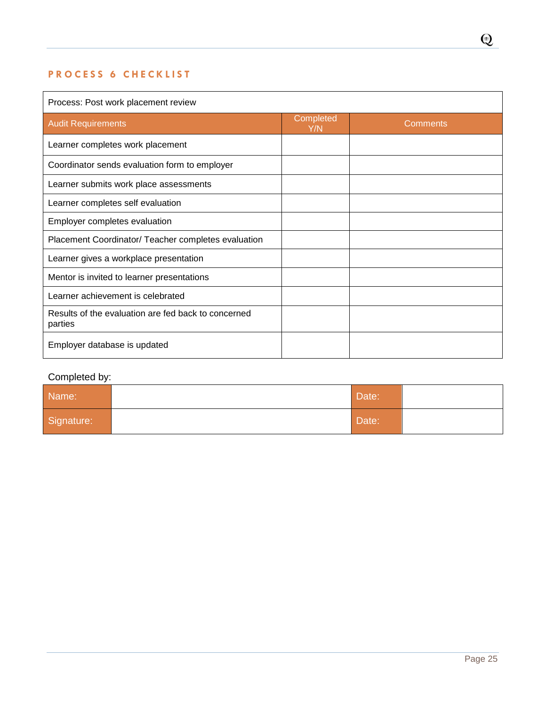# <span id="page-25-0"></span>**PROCESS 6 CHECKLIST**

# Process: Post work placement review Audit Requirements Completed<br>
The Completed The Completed The Completed The Completed The Completed The Completed The Completed The Completed The Completed The Completed The Completed The Completed The Completed The Comple **Comments** Learner completes work placement Coordinator sends evaluation form to employer Learner submits work place assessments Learner completes self evaluation Employer completes evaluation Placement Coordinator/ Teacher completes evaluation Learner gives a workplace presentation Mentor is invited to learner presentations Learner achievement is celebrated Results of the evaluation are fed back to concerned parties Employer database is updated

#### Completed by:

| Name:      | Date: |  |
|------------|-------|--|
| Signature: | Date: |  |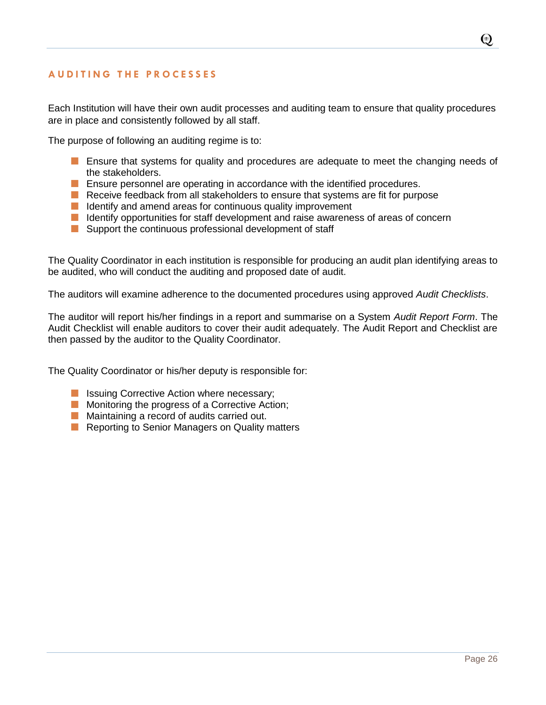## <span id="page-26-0"></span>**A U D I T I N G T H E P R O C E S S E S**

Each Institution will have their own audit processes and auditing team to ensure that quality procedures are in place and consistently followed by all staff.

The purpose of following an auditing regime is to:

- **Example 1** Ensure that systems for quality and procedures are adequate to meet the changing needs of the stakeholders.
- **E** Ensure personnel are operating in accordance with the identified procedures.
- $\blacksquare$  Receive feedback from all stakeholders to ensure that systems are fit for purpose
- $\blacksquare$  Identify and amend areas for continuous quality improvement
- $\blacksquare$  Identify opportunities for staff development and raise awareness of areas of concern
- Support the continuous professional development of staff

The Quality Coordinator in each institution is responsible for producing an audit plan identifying areas to be audited, who will conduct the auditing and proposed date of audit.

The auditors will examine adherence to the documented procedures using approved *Audit Checklists*.

The auditor will report his/her findings in a report and summarise on a System *Audit Report Form*. The Audit Checklist will enable auditors to cover their audit adequately. The Audit Report and Checklist are then passed by the auditor to the Quality Coordinator.

The Quality Coordinator or his/her deputy is responsible for:

- **In Issuing Corrective Action where necessary;**
- **Monitoring the progress of a Corrective Action;**
- **Maintaining a record of audits carried out.**
- Reporting to Senior Managers on Quality matters

 $\odot$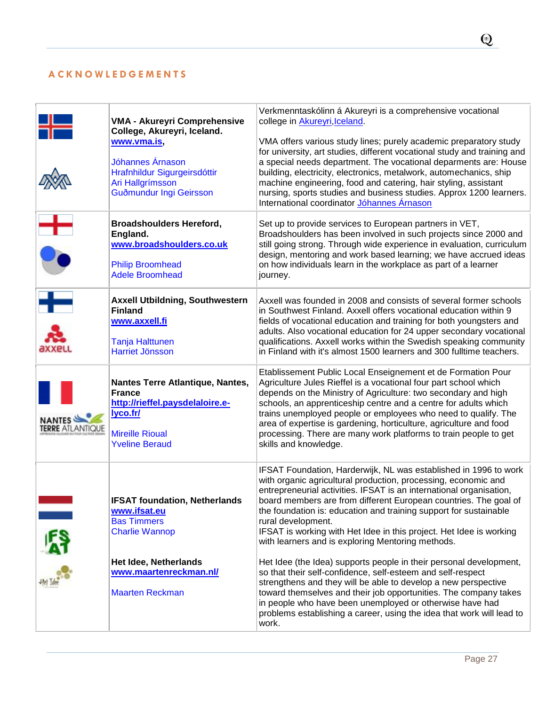# <span id="page-27-0"></span>**A C K N O W L E D G E M E N T S**

|                                          | <b>VMA - Akureyri Comprehensive</b><br>College, Akureyri, Iceland.<br>www.vma.is,<br>Jóhannes Árnason<br>Hrafnhildur Sigurgeirsdóttir<br>Ari Hallgrímsson<br>Guðmundur Ingi Geirsson | Verkmenntaskólinn á Akureyri is a comprehensive vocational<br>college in Akureyri, Iceland.<br>VMA offers various study lines; purely academic preparatory study<br>for university, art studies, different vocational study and training and<br>a special needs department. The vocational deparments are: House<br>building, electricity, electronics, metalwork, automechanics, ship<br>machine engineering, food and catering, hair styling, assistant<br>nursing, sports studies and business studies. Approx 1200 learners.<br>International coordinator <i>Jóhannes Árnason</i> |
|------------------------------------------|--------------------------------------------------------------------------------------------------------------------------------------------------------------------------------------|---------------------------------------------------------------------------------------------------------------------------------------------------------------------------------------------------------------------------------------------------------------------------------------------------------------------------------------------------------------------------------------------------------------------------------------------------------------------------------------------------------------------------------------------------------------------------------------|
| $\frac{1}{\bullet}$                      | <b>Broadshoulders Hereford,</b><br>England.<br>www.broadshoulders.co.uk<br><b>Philip Broomhead</b><br><b>Adele Broomhead</b>                                                         | Set up to provide services to European partners in VET,<br>Broadshoulders has been involved in such projects since 2000 and<br>still going strong. Through wide experience in evaluation, curriculum<br>design, mentoring and work based learning; we have accrued ideas<br>on how individuals learn in the workplace as part of a learner<br>journey.                                                                                                                                                                                                                                |
| $\mathbf{F}$<br>axxell                   | <b>Axxell Utbildning, Southwestern</b><br><b>Finland</b><br>www.axxell.fi<br><b>Tanja Halttunen</b><br><b>Harriet Jönsson</b>                                                        | Axxell was founded in 2008 and consists of several former schools<br>in Southwest Finland. Axxell offers vocational education within 9<br>fields of vocational education and training for both youngsters and<br>adults. Also vocational education for 24 upper secondary vocational<br>qualifications. Axxell works within the Swedish speaking community<br>in Finland with it's almost 1500 learners and 300 fulltime teachers.                                                                                                                                                    |
| <b>NANTES</b><br><b>TERRE</b> ATLANTIQUE | Nantes Terre Atlantique, Nantes,<br><b>France</b><br>http://rieffel.paysdelaloire.e-<br>lyco.fr/<br><b>Mireille Rioual</b><br><b>Yveline Beraud</b>                                  | Etablissement Public Local Enseignement et de Formation Pour<br>Agriculture Jules Rieffel is a vocational four part school which<br>depends on the Ministry of Agriculture: two secondary and high<br>schools, an apprenticeship centre and a centre for adults which<br>trains unemployed people or employees who need to qualify. The<br>area of expertise is gardening, horticulture, agriculture and food<br>processing. There are many work platforms to train people to get<br>skills and knowledge.                                                                            |
|                                          | <b>IFSAT foundation, Netherlands</b><br>www.ifsat.eu<br><b>Bas Timmers</b><br><b>Charlie Wannop</b>                                                                                  | IFSAT Foundation, Harderwijk, NL was established in 1996 to work<br>with organic agricultural production, processing, economic and<br>entrepreneurial activities. IFSAT is an international organisation,<br>board members are from different European countries. The goal of<br>the foundation is: education and training support for sustainable<br>rural development.<br>IFSAT is working with Het Idee in this project. Het Idee is working<br>with learners and is exploring Mentoring methods.                                                                                  |
|                                          | Het Idee, Netherlands<br>www.maartenreckman.nl/<br><b>Maarten Reckman</b>                                                                                                            | Het Idee (the Idea) supports people in their personal development,<br>so that their self-confidence, self-esteem and self-respect<br>strengthens and they will be able to develop a new perspective<br>toward themselves and their job opportunities. The company takes<br>in people who have been unemployed or otherwise have had<br>problems establishing a career, using the idea that work will lead to<br>work.                                                                                                                                                                 |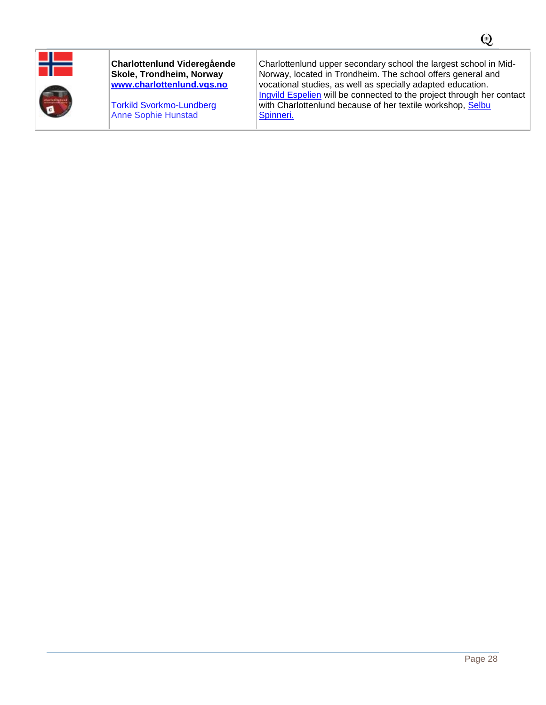

#### **Charlottenlund Videregående Skole, Trondheim, Norway [www.charlottenlund.vgs.no](http://www.charlottenlund.vgs.no/)**

[Torkild Svorkmo-Lundberg](mailto:torkild.svorkmo-lundberg@stfk.no) Anne Sophie Hunstad

Charlottenlund upper secondary school the largest school in Mid-Norway, located in Trondheim. The school offers general and vocational studies, as well as specially adapted education. [Ingvild Espelien](mailto:Ingvild.espelien@selbuspinneri.no.) will be connected to the project through her contact with Charlottenlund because of her textile workshop, Selbu [Spinneri.](http://selbuspinneri.com/)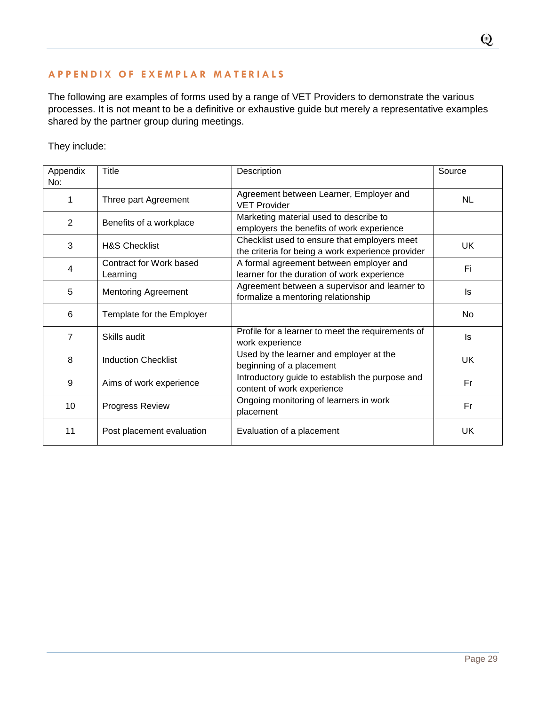# <span id="page-29-0"></span>**A P P E N D I X O F E X E M P L A R M A T E R I A L S**

The following are examples of forms used by a range of VET Providers to demonstrate the various processes. It is not meant to be a definitive or exhaustive guide but merely a representative examples shared by the partner group during meetings.

They include:

| Appendix | Title                               | Description                                                                                       | Source    |
|----------|-------------------------------------|---------------------------------------------------------------------------------------------------|-----------|
| No:      |                                     |                                                                                                   |           |
| 1        | Three part Agreement                | Agreement between Learner, Employer and<br><b>VET Provider</b>                                    | <b>NL</b> |
| 2        | Benefits of a workplace             | Marketing material used to describe to<br>employers the benefits of work experience               |           |
| 3        | <b>H&amp;S Checklist</b>            | Checklist used to ensure that employers meet<br>the criteria for being a work experience provider | <b>UK</b> |
| 4        | Contract for Work based<br>Learning | A formal agreement between employer and<br>learner for the duration of work experience            | Fi        |
| 5        | Mentoring Agreement                 | Agreement between a supervisor and learner to<br>formalize a mentoring relationship               | ls        |
| 6        | Template for the Employer           |                                                                                                   | No        |
| 7        | Skills audit                        | Profile for a learner to meet the requirements of<br>work experience                              | ls.       |
| 8        | <b>Induction Checklist</b>          | Used by the learner and employer at the<br>beginning of a placement                               | <b>UK</b> |
| 9        | Aims of work experience             | Introductory guide to establish the purpose and<br>content of work experience                     | Fr        |
| 10       | Progress Review                     | Ongoing monitoring of learners in work<br>placement                                               | Fr        |
| 11       | Post placement evaluation           | Evaluation of a placement                                                                         | UK        |

 $\bf Q$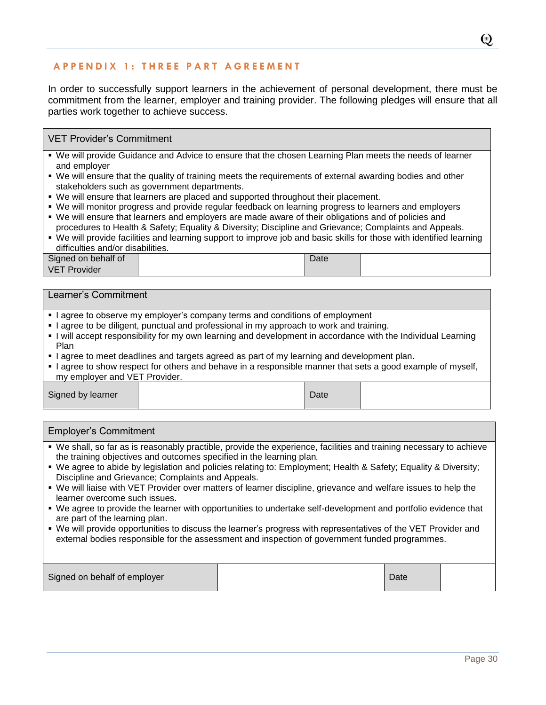# **A P P E N D I X 1 : T H R E E P A R T A G R E E M E N T**

In order to successfully support learners in the achievement of personal development, there must be commitment from the learner, employer and training provider. The following pledges will ensure that all parties work together to achieve success.

#### VET Provider's Commitment

- We will provide Guidance and Advice to ensure that the chosen Learning Plan meets the needs of learner and employer
- We will ensure that the quality of training meets the requirements of external awarding bodies and other stakeholders such as government departments.
- We will ensure that learners are placed and supported throughout their placement.
- We will monitor progress and provide regular feedback on learning progress to learners and employers
- We will ensure that learners and employers are made aware of their obligations and of policies and procedures to Health & Safety; Equality & Diversity; Discipline and Grievance; Complaints and Appeals.
- We will provide facilities and learning support to improve job and basic skills for those with identified learning difficulties and/or disabilities.

| Signed on behalf of    | Date |  |
|------------------------|------|--|
| <b>VET</b><br>Provider |      |  |

#### Learner's Commitment

- I agree to observe my employer's company terms and conditions of employment
- I agree to be diligent, punctual and professional in my approach to work and training.
- I will accept responsibility for my own learning and development in accordance with the Individual Learning Plan
- I agree to meet deadlines and targets agreed as part of my learning and development plan.
- I agree to show respect for others and behave in a responsible manner that sets a good example of myself, my employer and VET Provider.

| Signed by learner<br>$\mathcal{Q}$ ate |  |
|----------------------------------------|--|
|----------------------------------------|--|

# Employer's Commitment We shall, so far as is reasonably practible, provide the experience, facilities and training necessary to achieve the training objectives and outcomes specified in the learning plan*.* We agree to abide by legislation and policies relating to: Employment; Health & Safety; Equality & Diversity; Discipline and Grievance; Complaints and Appeals. We will liaise with VET Provider over matters of learner discipline, grievance and welfare issues to help the learner overcome such issues. We agree to provide the learner with opportunities to undertake self-development and portfolio evidence that are part of the learning plan. We will provide opportunities to discuss the learner's progress with representatives of the VET Provider and external bodies responsible for the assessment and inspection of government funded programmes.

| Signed on behalf of employer |  | Date |  |
|------------------------------|--|------|--|
|------------------------------|--|------|--|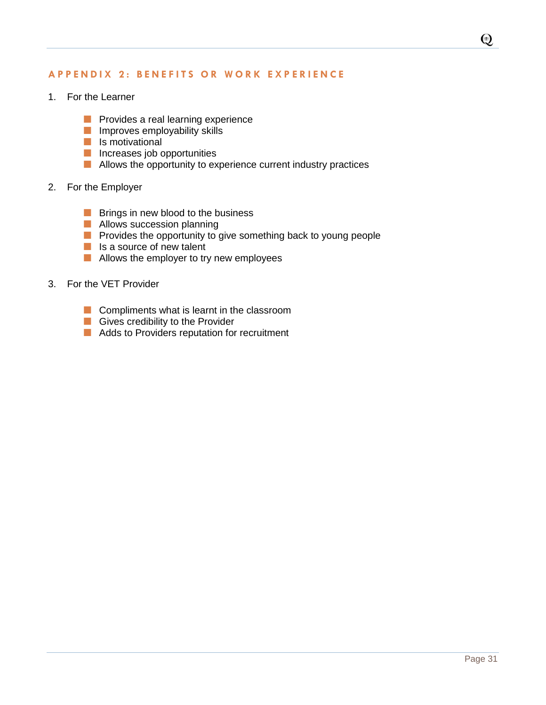## **A P P E N D I X 2 : B E N E F I T S O R W O R K E X P E R I E N C E**

- 1. For the Learner
	- **Provides a real learning experience**
	- **Improves employability skills**
	- $\blacksquare$  Is motivational
	- **Increases job opportunities**
	- **Allows the opportunity to experience current industry practices**

#### 2. For the Employer

- $\blacksquare$  Brings in new blood to the business
- **Allows succession planning**
- **Provides the opportunity to give something back to young people**
- **Is a source of new talent**
- **Allows the employer to try new employees**
- 3. For the VET Provider
	- $\blacksquare$  Compliments what is learnt in the classroom
	- Gives credibility to the Provider
	- **Adds to Providers reputation for recruitment**

 $\bigcirc$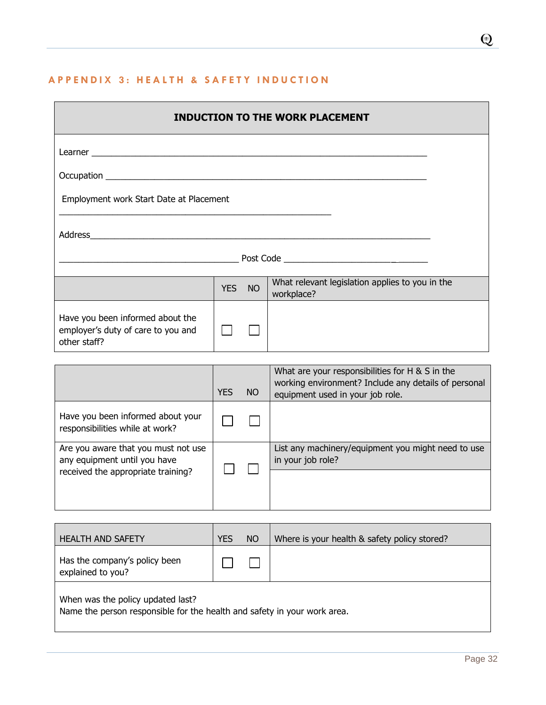# **A P P E N D I X 3 : H E A L T H & S A F E T Y I N D U C T I O N**

|                                                                                        |                                                                                                                       |  | <b>INDUCTION TO THE WORK PLACEMENT</b> |  |  |  |
|----------------------------------------------------------------------------------------|-----------------------------------------------------------------------------------------------------------------------|--|----------------------------------------|--|--|--|
|                                                                                        |                                                                                                                       |  |                                        |  |  |  |
|                                                                                        |                                                                                                                       |  |                                        |  |  |  |
| Employment work Start Date at Placement                                                |                                                                                                                       |  |                                        |  |  |  |
|                                                                                        | <u> 1989 - Johann Barn, mars ar breithinn ar chwaraeth a chwaraeth a chwaraeth a chwaraeth a chwaraeth a chwaraet</u> |  |                                        |  |  |  |
|                                                                                        |                                                                                                                       |  |                                        |  |  |  |
| What relevant legislation applies to you in the<br>YES NO<br>workplace?                |                                                                                                                       |  |                                        |  |  |  |
| Have you been informed about the<br>employer's duty of care to you and<br>other staff? |                                                                                                                       |  |                                        |  |  |  |

|                                                                                                           | <b>YES</b> | NO. | What are your responsibilities for H $\&$ S in the<br>working environment? Include any details of personal<br>equipment used in your job role. |
|-----------------------------------------------------------------------------------------------------------|------------|-----|------------------------------------------------------------------------------------------------------------------------------------------------|
| Have you been informed about your<br>responsibilities while at work?                                      |            |     |                                                                                                                                                |
| Are you aware that you must not use<br>any equipment until you have<br>received the appropriate training? |            |     | List any machinery/equipment you might need to use<br>in your job role?                                                                        |
|                                                                                                           |            |     |                                                                                                                                                |

| <b>HEALTH AND SAFETY</b>                                                                                     | <b>YES</b> | NO | Where is your health & safety policy stored? |  |  |  |
|--------------------------------------------------------------------------------------------------------------|------------|----|----------------------------------------------|--|--|--|
| Has the company's policy been<br>explained to you?                                                           |            |    |                                              |  |  |  |
| When was the policy updated last?<br>Name the nerson responsible for the boalth and safety in your work area |            |    |                                              |  |  |  |

Name the person responsible for the health and safety in your work area.

 $\mathbf Q$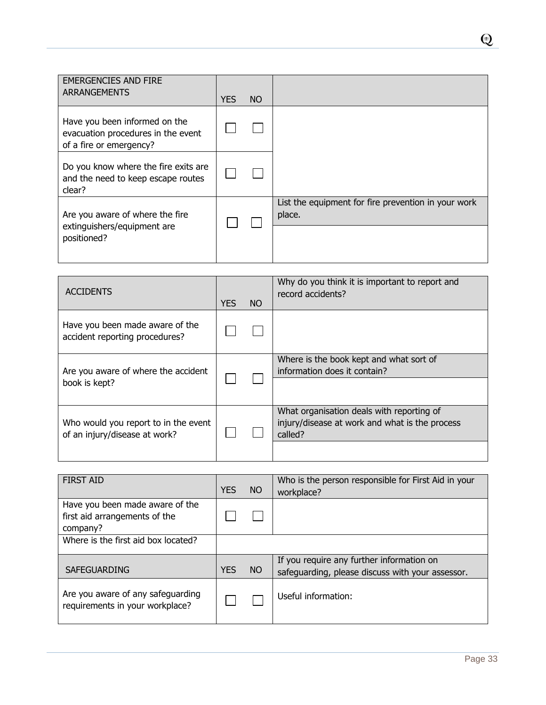| <b>EMERGENCIES AND FIRE</b><br>ARRANGEMENTS                                                    | <b>YES</b> | NO. |                                                               |
|------------------------------------------------------------------------------------------------|------------|-----|---------------------------------------------------------------|
| Have you been informed on the<br>evacuation procedures in the event<br>of a fire or emergency? |            |     |                                                               |
| Do you know where the fire exits are<br>and the need to keep escape routes<br>clear?           |            |     |                                                               |
| Are you aware of where the fire<br>extinguishers/equipment are<br>positioned?                  |            |     | List the equipment for fire prevention in your work<br>place. |

| <b>ACCIDENTS</b>                                                      | <b>YES</b> | NO. | Why do you think it is important to report and<br>record accidents?                                    |
|-----------------------------------------------------------------------|------------|-----|--------------------------------------------------------------------------------------------------------|
| Have you been made aware of the<br>accident reporting procedures?     |            |     |                                                                                                        |
| Are you aware of where the accident<br>book is kept?                  |            |     | Where is the book kept and what sort of<br>information does it contain?                                |
| Who would you report to in the event<br>of an injury/disease at work? |            |     | What organisation deals with reporting of<br>injury/disease at work and what is the process<br>called? |

| <b>FIRST AID</b>                                                             | <b>YES</b> | NO.       | Who is the person responsible for First Aid in your<br>workplace?                             |
|------------------------------------------------------------------------------|------------|-----------|-----------------------------------------------------------------------------------------------|
| Have you been made aware of the<br>first aid arrangements of the<br>company? |            |           |                                                                                               |
| Where is the first aid box located?                                          |            |           |                                                                                               |
| SAFEGUARDING                                                                 | <b>YES</b> | <b>NO</b> | If you require any further information on<br>safeguarding, please discuss with your assessor. |
| Are you aware of any safeguarding<br>requirements in your workplace?         |            |           | Useful information:                                                                           |

 $\overline{\mathbf{Q}}$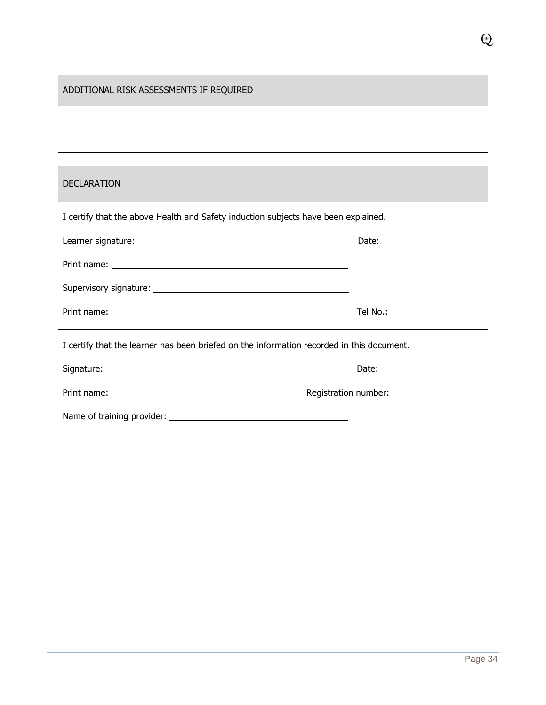# ADDITIONAL RISK ASSESSMENTS IF REQUIRED

## DECLARATION

| I certify that the above Health and Safety induction subjects have been explained.        |  |
|-------------------------------------------------------------------------------------------|--|
|                                                                                           |  |
|                                                                                           |  |
|                                                                                           |  |
|                                                                                           |  |
| I certify that the learner has been briefed on the information recorded in this document. |  |
|                                                                                           |  |
|                                                                                           |  |
|                                                                                           |  |

Q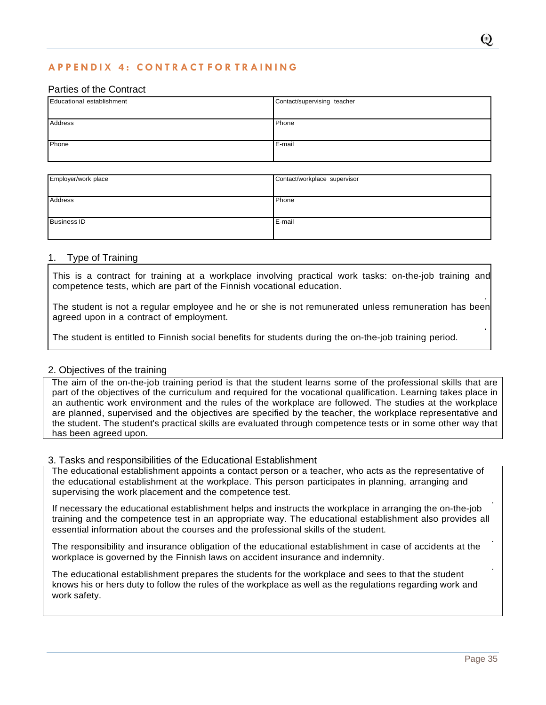# **A P P E N D I X 4 : C O N T R A C T F O R T R A I N I N G**

#### Parties of the Contract

| Educational establishment | Contact/supervising teacher |  |
|---------------------------|-----------------------------|--|
|                           |                             |  |
| Address                   | Phone                       |  |
|                           |                             |  |
| Phone                     | E-mail                      |  |
|                           |                             |  |

| Employer/work place | Contact/workplace supervisor |
|---------------------|------------------------------|
|                     |                              |
| <b>Address</b>      | Phone                        |
|                     |                              |
| <b>Business ID</b>  | E-mail                       |
|                     |                              |

#### 1. Type of Training

This is a contract for training at a workplace involving practical work tasks: on-the-job training and competence tests, which are part of the Finnish vocational education.

The student is not a regular employee and he or she is not remunerated unless remuneration has been agreed upon in a contract of employment.

The student is entitled to Finnish social benefits for students during the on-the-job training period.

#### 2. Objectives of the training

The aim of the on-the-job training period is that the student learns some of the professional skills that are part of the objectives of the curriculum and required for the vocational qualification. Learning takes place in an authentic work environment and the rules of the workplace are followed. The studies at the workplace are planned, supervised and the objectives are specified by the teacher, the workplace representative and the student. The student's practical skills are evaluated through competence tests or in some other way that has been agreed upon.

#### 3. Tasks and responsibilities of the Educational Establishment

The educational establishment appoints a contact person or a teacher, who acts as the representative of the educational establishment at the workplace. This person participates in planning, arranging and supervising the work placement and the competence test.

. If necessary the educational establishment helps and instructs the workplace in arranging the on-the-job training and the competence test in an appropriate way. The educational establishment also provides all essential information about the courses and the professional skills of the student.

The responsibility and insurance obligation of the educational establishment in case of accidents at the workplace is governed by the Finnish laws on accident insurance and indemnity.

The educational establishment prepares the students for the workplace and sees to that the student knows his or hers duty to follow the rules of the workplace as well as the regulations regarding work and work safety.

.

**.**

.

.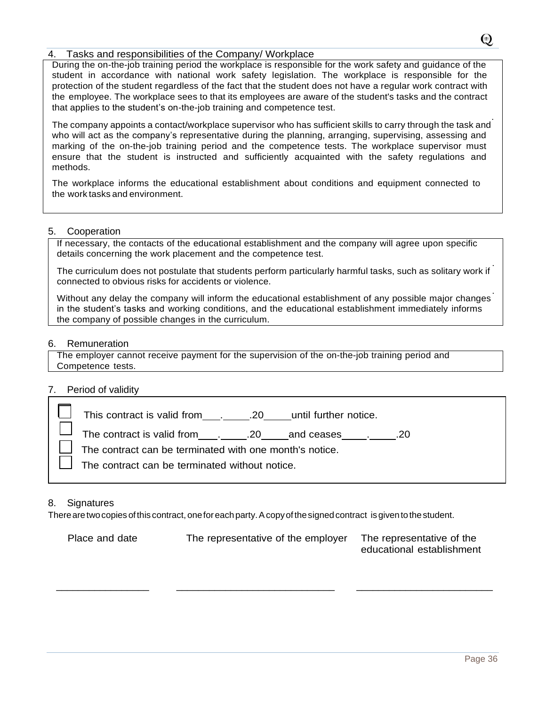#### 4. Tasks and responsibilities of the Company/ Workplace

During the on-the-job training period the workplace is responsible for the work safety and guidance of the student in accordance with national work safety legislation. The workplace is responsible for the protection of the student regardless of the fact that the student does not have a regular work contract with the employee. The workplace sees to that its employees are aware of the student's tasks and the contract that applies to the student's on-the-job training and competence test.

. The company appoints a contact/workplace supervisor who has sufficient skills to carry through the task and who will act as the company's representative during the planning, arranging, supervising, assessing and marking of the on-the-job training period and the competence tests. The workplace supervisor must ensure that the student is instructed and sufficiently acquainted with the safety regulations and methods.

The workplace informs the educational establishment about conditions and equipment connected to the work tasks and environment.

#### 5. Cooperation

If necessary, the contacts of the educational establishment and the company will agree upon specific details concerning the work placement and the competence test.

. The curriculum does not postulate that students perform particularly harmful tasks, such as solitary work if connected to obvious risks for accidents or violence.

. Without any delay the company will inform the educational establishment of any possible major changes in the student's tasks and working conditions, and the educational establishment immediately informs the company of possible changes in the curriculum.

#### 6. Remuneration

The employer cannot receive payment for the supervision of the on-the-job training period and Competence tests.

#### 7. Period of validity

| .20<br>$\Box$ The contract can be terminated with one month's notice.<br>The contract can be terminated without notice. |
|-------------------------------------------------------------------------------------------------------------------------|
|                                                                                                                         |

#### 8. Signatures

There are two copies of this contract, one for each party. A copy of the signed contract is given to the student.

| Place and date | The representative of the employer | The representative of the |
|----------------|------------------------------------|---------------------------|
|                |                                    | educational establishment |

 $\overline{\phantom{a}}$  , and the contribution of the contribution of the contribution of the contribution of the contribution of the contribution of the contribution of the contribution of the contribution of the contribution of the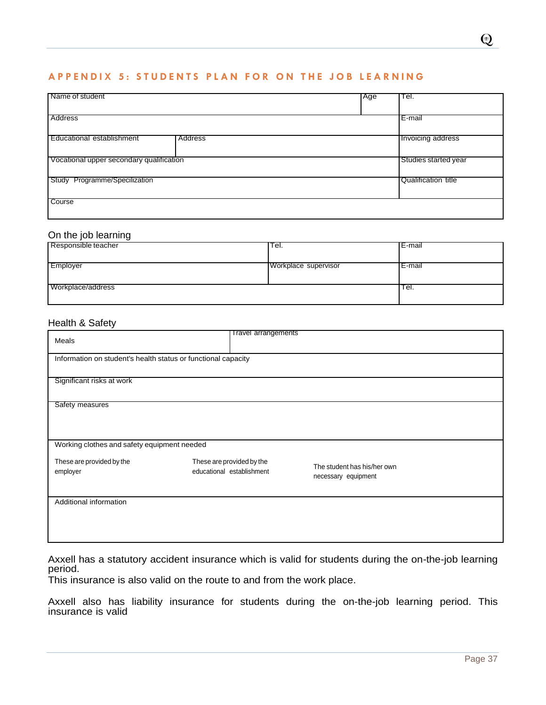#### **A P P E N D I X 5 : S T U D E N T S P L A N F O R O N T H E J O B L E A R N I N G**

| Name of student                          | Age | Tel.                 |
|------------------------------------------|-----|----------------------|
|                                          |     |                      |
| Address                                  |     | E-mail               |
|                                          |     |                      |
| Educational establishment<br>Address     |     | Invoicing address    |
|                                          |     |                      |
| Vocational upper secondary qualification |     | Studies started year |
| Study Programme/Specilization            |     | Qualification title  |
|                                          |     |                      |
| Course                                   |     |                      |
|                                          |     |                      |

# On the job learning

| Responsible teacher | Tel.                 | IE-mail |
|---------------------|----------------------|---------|
| Employer            | Workplace supervisor | IE-mail |
| Workplace/address   |                      | ⊤el.    |

#### Health & Safety

| Meals                                                         | <b>Travel arrangements</b>                             |                                                    |  |
|---------------------------------------------------------------|--------------------------------------------------------|----------------------------------------------------|--|
| Information on student's health status or functional capacity |                                                        |                                                    |  |
| Significant risks at work                                     |                                                        |                                                    |  |
| Safety measures                                               |                                                        |                                                    |  |
| Working clothes and safety equipment needed                   |                                                        |                                                    |  |
| These are provided by the<br>employer                         | These are provided by the<br>educational establishment | The student has his/her own<br>necessary equipment |  |
| Additional information                                        |                                                        |                                                    |  |

Axxell has a statutory accident insurance which is valid for students during the on-the-job learning period.

This insurance is also valid on the route to and from the work place.

. Axxell also has liability insurance for students during the on-the-job learning period. This insurance is valid